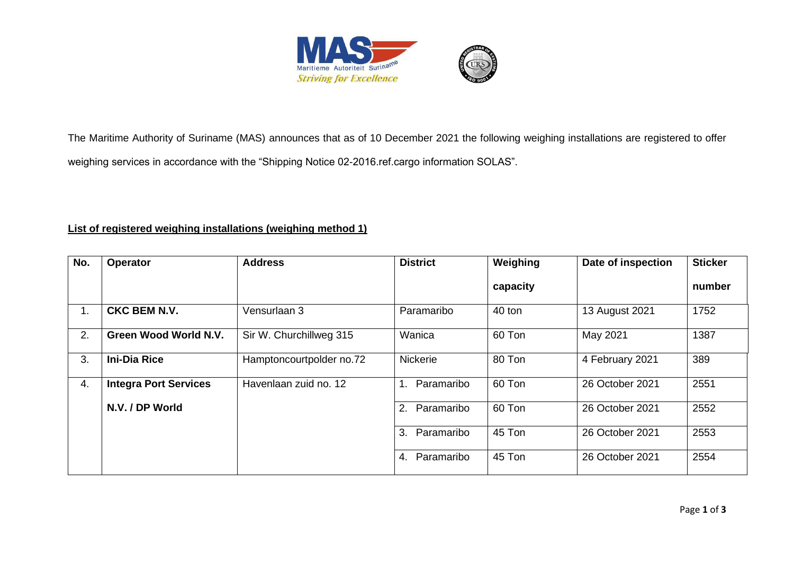

The Maritime Authority of Suriname (MAS) announces that as of 10 December 2021 the following weighing installations are registered to offer weighing services in accordance with the "Shipping Notice 02-2016.ref.cargo information SOLAS".

## **List of registered weighing installations (weighing method 1)**

| No.            | <b>Operator</b>              | <b>Address</b>           | <b>District</b>  | Weighing | Date of inspection | <b>Sticker</b> |
|----------------|------------------------------|--------------------------|------------------|----------|--------------------|----------------|
|                |                              |                          |                  | capacity |                    | number         |
| 1 <sub>1</sub> | <b>CKC BEM N.V.</b>          | Vensurlaan 3             | Paramaribo       | 40 ton   | 13 August 2021     | 1752           |
| 2.             | <b>Green Wood World N.V.</b> | Sir W. Churchillweg 315  | Wanica           | 60 Ton   | May 2021           | 1387           |
| 3.             | <b>Ini-Dia Rice</b>          | Hamptoncourtpolder no.72 | <b>Nickerie</b>  | 80 Ton   | 4 February 2021    | 389            |
| 4.             | <b>Integra Port Services</b> | Havenlaan zuid no. 12    | Paramaribo       | 60 Ton   | 26 October 2021    | 2551           |
|                | N.V. / DP World              |                          | Paramaribo<br>2. | 60 Ton   | 26 October 2021    | 2552           |
|                |                              |                          | Paramaribo<br>3. | 45 Ton   | 26 October 2021    | 2553           |
|                |                              |                          | Paramaribo<br>4. | 45 Ton   | 26 October 2021    | 2554           |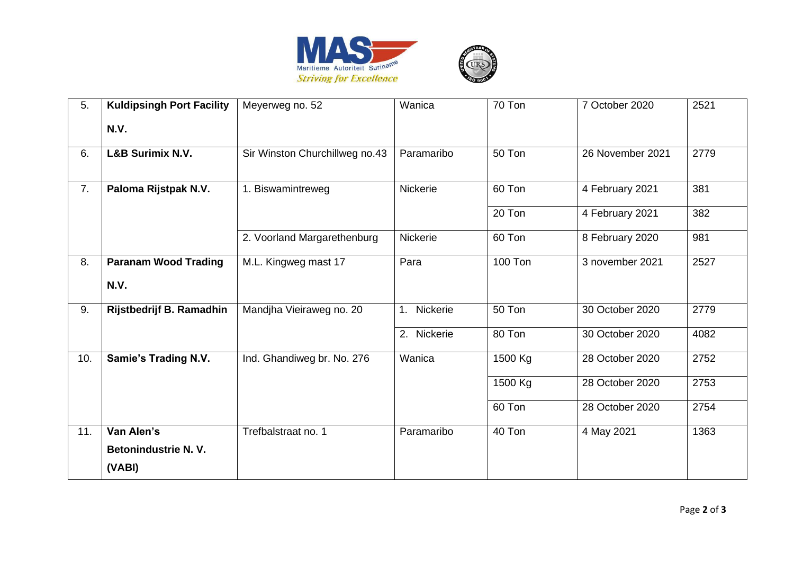

| 5.  | <b>Kuldipsingh Port Facility</b> | Meyerweg no. 52                | Wanica      | 70 Ton  | 7 October 2020   | 2521 |
|-----|----------------------------------|--------------------------------|-------------|---------|------------------|------|
|     | <b>N.V.</b>                      |                                |             |         |                  |      |
| 6.  | L&B Surimix N.V.                 | Sir Winston Churchillweg no.43 | Paramaribo  | 50 Ton  | 26 November 2021 | 2779 |
| 7.  | Paloma Rijstpak N.V.             | 1. Biswamintreweg              | Nickerie    | 60 Ton  | 4 February 2021  | 381  |
|     |                                  |                                |             | 20 Ton  | 4 February 2021  | 382  |
|     |                                  | 2. Voorland Margarethenburg    | Nickerie    | 60 Ton  | 8 February 2020  | 981  |
| 8.  | <b>Paranam Wood Trading</b>      | M.L. Kingweg mast 17           | Para        | 100 Ton | 3 november 2021  | 2527 |
|     | <b>N.V.</b>                      |                                |             |         |                  |      |
| 9.  | Rijstbedrijf B. Ramadhin         | Mandjha Vieiraweg no. 20       | 1. Nickerie | 50 Ton  | 30 October 2020  | 2779 |
|     |                                  |                                | 2. Nickerie | 80 Ton  | 30 October 2020  | 4082 |
| 10. | <b>Samie's Trading N.V.</b>      | Ind. Ghandiweg br. No. 276     | Wanica      | 1500 Kg | 28 October 2020  | 2752 |
|     |                                  |                                |             | 1500 Kg | 28 October 2020  | 2753 |
|     |                                  |                                |             | 60 Ton  | 28 October 2020  | 2754 |
| 11. | Van Alen's                       | Trefbalstraat no. 1            | Paramaribo  | 40 Ton  | 4 May 2021       | 1363 |
|     | <b>Betonindustrie N. V.</b>      |                                |             |         |                  |      |
|     | (VABI)                           |                                |             |         |                  |      |